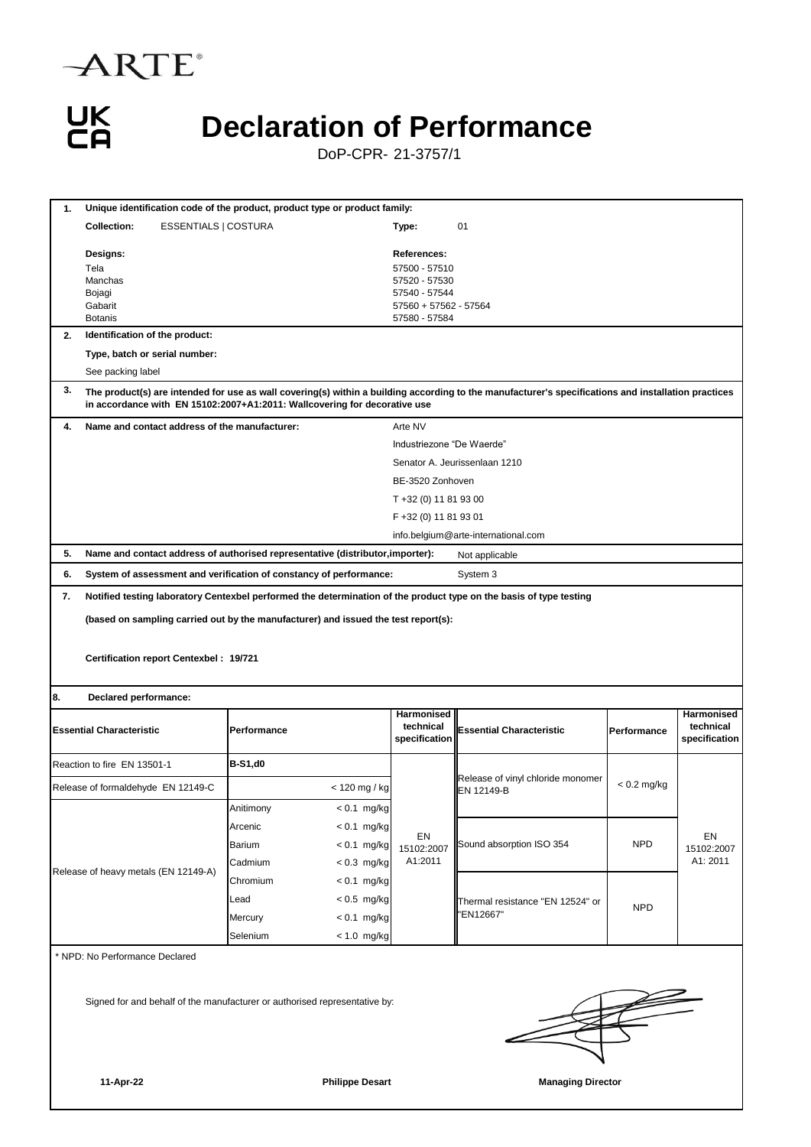

UK<br>CA

## **Declaration of Performance**

DoP-CPR- 21-3757/1

| 1.                                                                                                 | Unique identification code of the product, product type or product family:                                                                                                                                                       |                |               |                                                 |                                                 |               |                                                 |  |  |  |  |  |
|----------------------------------------------------------------------------------------------------|----------------------------------------------------------------------------------------------------------------------------------------------------------------------------------------------------------------------------------|----------------|---------------|-------------------------------------------------|-------------------------------------------------|---------------|-------------------------------------------------|--|--|--|--|--|
|                                                                                                    | <b>Collection:</b><br><b>ESSENTIALS   COSTURA</b>                                                                                                                                                                                |                |               | 01                                              |                                                 |               |                                                 |  |  |  |  |  |
|                                                                                                    |                                                                                                                                                                                                                                  |                |               | Type:                                           |                                                 |               |                                                 |  |  |  |  |  |
|                                                                                                    | Designs:                                                                                                                                                                                                                         |                |               | References:                                     |                                                 |               |                                                 |  |  |  |  |  |
|                                                                                                    | Tela                                                                                                                                                                                                                             |                |               | 57500 - 57510                                   |                                                 |               |                                                 |  |  |  |  |  |
|                                                                                                    | Bojagi                                                                                                                                                                                                                           | Manchas        |               | 57520 - 57530<br>57540 - 57544                  |                                                 |               |                                                 |  |  |  |  |  |
|                                                                                                    | Gabarit                                                                                                                                                                                                                          |                |               | 57560 + 57562 - 57564                           |                                                 |               |                                                 |  |  |  |  |  |
|                                                                                                    | <b>Botanis</b>                                                                                                                                                                                                                   |                |               | 57580 - 57584                                   |                                                 |               |                                                 |  |  |  |  |  |
| 2.                                                                                                 | Identification of the product:                                                                                                                                                                                                   |                |               |                                                 |                                                 |               |                                                 |  |  |  |  |  |
|                                                                                                    | Type, batch or serial number:                                                                                                                                                                                                    |                |               |                                                 |                                                 |               |                                                 |  |  |  |  |  |
| 3.                                                                                                 | See packing label                                                                                                                                                                                                                |                |               |                                                 |                                                 |               |                                                 |  |  |  |  |  |
|                                                                                                    | The product(s) are intended for use as wall covering(s) within a building according to the manufacturer's specifications and installation practices<br>in accordance with EN 15102:2007+A1:2011: Wallcovering for decorative use |                |               |                                                 |                                                 |               |                                                 |  |  |  |  |  |
| 4.                                                                                                 | Name and contact address of the manufacturer:                                                                                                                                                                                    |                |               | Arte NV                                         |                                                 |               |                                                 |  |  |  |  |  |
|                                                                                                    |                                                                                                                                                                                                                                  |                |               | Industriezone "De Waerde"                       |                                                 |               |                                                 |  |  |  |  |  |
|                                                                                                    |                                                                                                                                                                                                                                  |                |               | Senator A. Jeurissenlaan 1210                   |                                                 |               |                                                 |  |  |  |  |  |
|                                                                                                    |                                                                                                                                                                                                                                  |                |               | BE-3520 Zonhoven                                |                                                 |               |                                                 |  |  |  |  |  |
|                                                                                                    |                                                                                                                                                                                                                                  |                |               | T +32 (0) 11 81 93 00                           |                                                 |               |                                                 |  |  |  |  |  |
|                                                                                                    |                                                                                                                                                                                                                                  |                |               | F +32 (0) 11 81 93 01                           |                                                 |               |                                                 |  |  |  |  |  |
|                                                                                                    |                                                                                                                                                                                                                                  |                |               | info.belgium@arte-international.com             |                                                 |               |                                                 |  |  |  |  |  |
| 5.                                                                                                 | Name and contact address of authorised representative (distributor, importer):                                                                                                                                                   |                |               |                                                 | Not applicable                                  |               |                                                 |  |  |  |  |  |
| 6.                                                                                                 | System of assessment and verification of constancy of performance:<br>System 3                                                                                                                                                   |                |               |                                                 |                                                 |               |                                                 |  |  |  |  |  |
| 7.                                                                                                 | Notified testing laboratory Centexbel performed the determination of the product type on the basis of type testing                                                                                                               |                |               |                                                 |                                                 |               |                                                 |  |  |  |  |  |
|                                                                                                    | (based on sampling carried out by the manufacturer) and issued the test report(s):                                                                                                                                               |                |               |                                                 |                                                 |               |                                                 |  |  |  |  |  |
|                                                                                                    |                                                                                                                                                                                                                                  |                |               |                                                 |                                                 |               |                                                 |  |  |  |  |  |
|                                                                                                    |                                                                                                                                                                                                                                  |                |               |                                                 |                                                 |               |                                                 |  |  |  |  |  |
|                                                                                                    | Certification report Centexbel: 19/721                                                                                                                                                                                           |                |               |                                                 |                                                 |               |                                                 |  |  |  |  |  |
|                                                                                                    |                                                                                                                                                                                                                                  |                |               |                                                 |                                                 |               |                                                 |  |  |  |  |  |
| 8.                                                                                                 | Declared performance:                                                                                                                                                                                                            |                |               |                                                 |                                                 |               |                                                 |  |  |  |  |  |
| <b>Essential Characteristic</b>                                                                    |                                                                                                                                                                                                                                  | Performance    |               | <b>Harmonised</b><br>technical<br>specification | <b>Essential Characteristic</b>                 | Performance   | <b>Harmonised</b><br>technical<br>specification |  |  |  |  |  |
|                                                                                                    | Reaction to fire EN 13501-1                                                                                                                                                                                                      | <b>B-S1,d0</b> |               |                                                 |                                                 |               |                                                 |  |  |  |  |  |
| Release of formaldehyde EN 12149-C                                                                 |                                                                                                                                                                                                                                  |                | < 120 mg / kg |                                                 | Release of vinyl chloride monomer<br>EN 12149-B | $< 0.2$ mg/kg |                                                 |  |  |  |  |  |
| Release of heavy metals (EN 12149-A)                                                               |                                                                                                                                                                                                                                  | Anitimony      | < 0.1 mg/kg   |                                                 |                                                 |               |                                                 |  |  |  |  |  |
|                                                                                                    |                                                                                                                                                                                                                                  | Arcenic        | $< 0.1$ mg/kg |                                                 | Sound absorption ISO 354                        |               |                                                 |  |  |  |  |  |
|                                                                                                    |                                                                                                                                                                                                                                  | Barium         | $< 0.1$ mg/kg | EN<br>15102:2007                                |                                                 | <b>NPD</b>    | EN<br>15102:2007                                |  |  |  |  |  |
|                                                                                                    |                                                                                                                                                                                                                                  | Cadmium        | $< 0.3$ mg/kg | A1:2011                                         |                                                 |               | A1: 2011                                        |  |  |  |  |  |
|                                                                                                    |                                                                                                                                                                                                                                  | Chromium       | $< 0.1$ mg/kg |                                                 | Thermal resistance "EN 12524" or<br>'EN12667"   | <b>NPD</b>    |                                                 |  |  |  |  |  |
|                                                                                                    |                                                                                                                                                                                                                                  | Lead           | $< 0.5$ mg/kg |                                                 |                                                 |               |                                                 |  |  |  |  |  |
|                                                                                                    |                                                                                                                                                                                                                                  | Mercury        | $< 0.1$ mg/kg |                                                 |                                                 |               |                                                 |  |  |  |  |  |
|                                                                                                    |                                                                                                                                                                                                                                  | Selenium       | $< 1.0$ mg/kg |                                                 |                                                 |               |                                                 |  |  |  |  |  |
|                                                                                                    |                                                                                                                                                                                                                                  |                |               |                                                 |                                                 |               |                                                 |  |  |  |  |  |
|                                                                                                    | NPD: No Performance Declared                                                                                                                                                                                                     |                |               |                                                 |                                                 |               |                                                 |  |  |  |  |  |
|                                                                                                    |                                                                                                                                                                                                                                  |                |               |                                                 |                                                 |               |                                                 |  |  |  |  |  |
| $\overrightarrow{p}$<br>Signed for and behalf of the manufacturer or authorised representative by: |                                                                                                                                                                                                                                  |                |               |                                                 |                                                 |               |                                                 |  |  |  |  |  |

**11-Apr-22 Philippe Desart Managing Director**